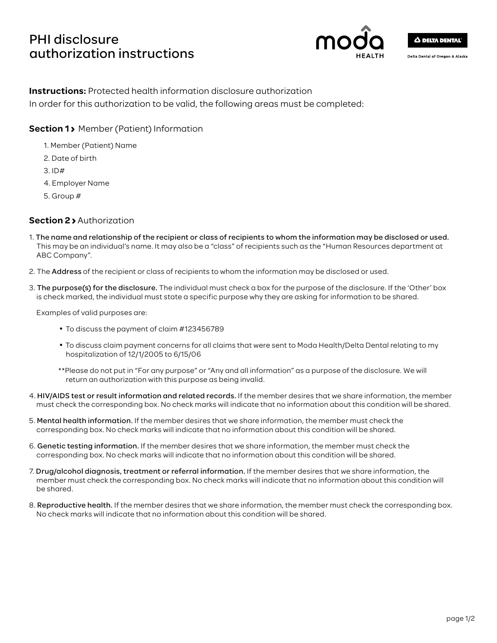# PHI disclosure authorization instructions



Delta Dental of Oregon & Alaska

# **Instructions:** Protected health information disclosure authorization In order for this authorization to be valid, the following areas must be completed:

**Section 1> Member (Patient) Information** 

- 1. Member (Patient) Name
- 2. Date of birth
- 3. ID#
- 4. Employer Name
- 5. Group #

# **Section 2** Authorization

- 1. The name and relationship of the recipient or class of recipients to whom the information may be disclosed or used. This may be an individual's name. It may also be a "class" of recipients such as the "Human Resources department at ABC Company".
- 2. The Address of the recipient or class of recipients to whom the information may be disclosed or used.
- 3. The purpose(s) for the disclosure. The individual must check a box for the purpose of the disclosure. If the 'Other' box is check marked, the individual must state a specific purpose why they are asking for information to be shared.

Examples of valid purposes are:

- To discuss the payment of claim #123456789
- To discuss claim payment concerns for all claims that were sent to Moda Health/Delta Dental relating to my hospitalization of 12/1/2005 to 6/15/06
- \*\*Please do not put in "For any purpose" or "Any and all information" as a purpose of the disclosure. We will return an authorization with this purpose as being invalid.
- 4. HIV/AIDS test or result information and related records. If the member desires that we share information, the member must check the corresponding box. No check marks will indicate that no information about this condition will be shared.
- 5. Mental health information. If the member desires that we share information, the member must check the corresponding box. No check marks will indicate that no information about this condition will be shared.
- 6. Genetic testing information. If the member desires that we share information, the member must check the corresponding box. No check marks will indicate that no information about this condition will be shared.
- 7. Drug/alcohol diagnosis, treatment or referral information. If the member desires that we share information, the member must check the corresponding box. No check marks will indicate that no information about this condition will be shared.
- 8. Reproductive health. If the member desires that we share information, the member must check the corresponding box. No check marks will indicate that no information about this condition will be shared.